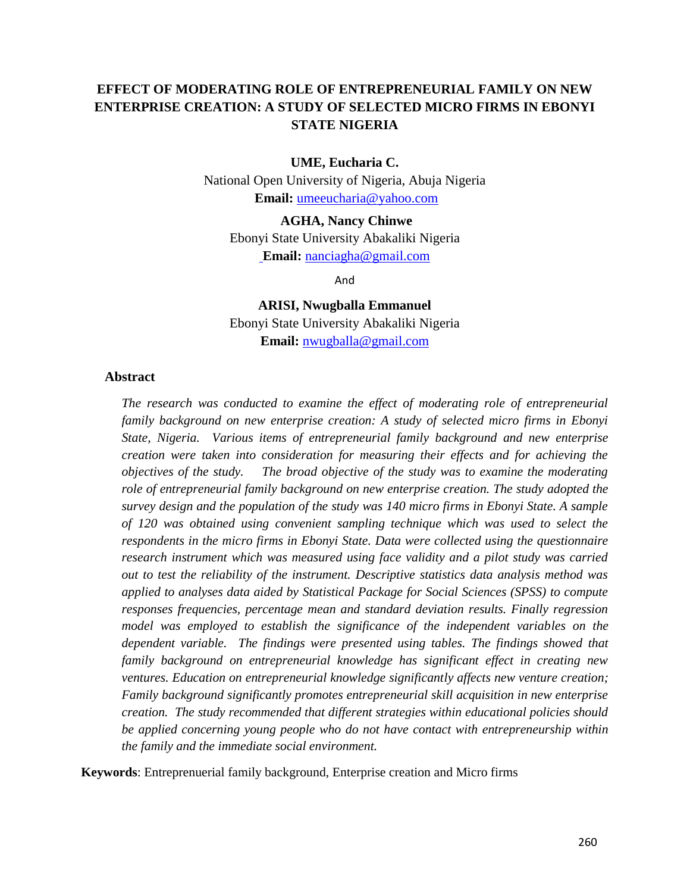# **EFFECT OF MODERATING ROLE OF ENTREPRENEURIAL FAMILY ON NEW ENTERPRISE CREATION: A STUDY OF SELECTED MICRO FIRMS IN EBONYI STATE NIGERIA**

#### **UME, Eucharia C.**

National Open University of Nigeria, Abuja Nigeria **Email:** [umeeucharia@yahoo.com](mailto:umeeucharia@yahoo.com)

**AGHA, Nancy Chinwe**  Ebonyi State University Abakaliki Nigeria **Email:** [nanciagha@gmail.com](mailto:%20nanciagha@gmail.com)

And

**ARISI, Nwugballa Emmanuel** Ebonyi State University Abakaliki Nigeria **Email:** [nwugballa@gmail.com](mailto:nwugballa@gmail.com)

#### **Abstract**

*The research was conducted to examine the effect of moderating role of entrepreneurial family background on new enterprise creation: A study of selected micro firms in Ebonyi State, Nigeria. Various items of entrepreneurial family background and new enterprise creation were taken into consideration for measuring their effects and for achieving the objectives of the study. The broad objective of the study was to examine the moderating role of entrepreneurial family background on new enterprise creation. The study adopted the survey design and the population of the study was 140 micro firms in Ebonyi State. A sample of 120 was obtained using convenient sampling technique which was used to select the respondents in the micro firms in Ebonyi State. Data were collected using the questionnaire research instrument which was measured using face validity and a pilot study was carried out to test the reliability of the instrument. Descriptive statistics data analysis method was applied to analyses data aided by Statistical Package for Social Sciences (SPSS) to compute responses frequencies, percentage mean and standard deviation results. Finally regression model was employed to establish the significance of the independent variables on the dependent variable. The findings were presented using tables. The findings showed that family background on entrepreneurial knowledge has significant effect in creating new ventures. Education on entrepreneurial knowledge significantly affects new venture creation; Family background significantly promotes entrepreneurial skill acquisition in new enterprise creation. The study recommended that different strategies within educational policies should be applied concerning young people who do not have contact with entrepreneurship within the family and the immediate social environment.* 

**Keywords**: Entreprenuerial family background, Enterprise creation and Micro firms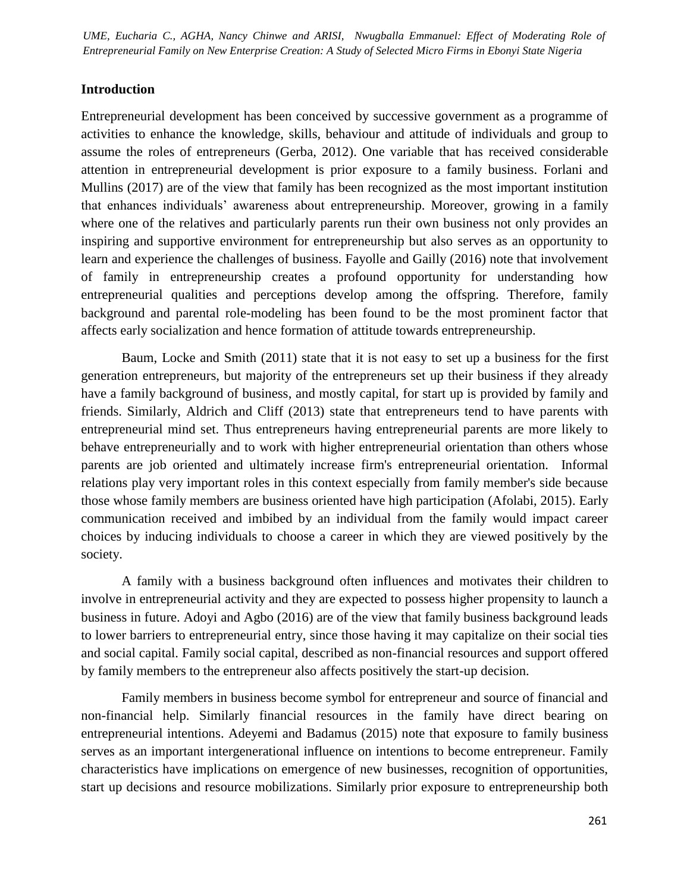Entrepreneurial Family on New Enterprise Creation: A Study of Selected Micro Firms in Ebonyi State Nigeria *UME, Eucharia C., AGHA, Nancy Chinwe and ARISI, Nwugballa Emmanuel: Effect of Moderating Role of* 

#### **Introduction**

Entrepreneurial development has been conceived by successive government as a programme of activities to enhance the knowledge, skills, behaviour and attitude of individuals and group to assume the roles of entrepreneurs (Gerba, 2012). One variable that has received considerable attention in entrepreneurial development is prior exposure to a family business. Forlani and Mullins (2017) are of the view that family has been recognized as the most important institution that enhances individuals' awareness about entrepreneurship. Moreover, growing in a family where one of the relatives and particularly parents run their own business not only provides an inspiring and supportive environment for entrepreneurship but also serves as an opportunity to learn and experience the challenges of business. Fayolle and Gailly (2016) note that involvement of family in entrepreneurship creates a profound opportunity for understanding how entrepreneurial qualities and perceptions develop among the offspring. Therefore, family background and parental role-modeling has been found to be the most prominent factor that affects early socialization and hence formation of attitude towards entrepreneurship.

Baum, Locke and Smith (2011) state that it is not easy to set up a business for the first generation entrepreneurs, but majority of the entrepreneurs set up their business if they already have a family background of business, and mostly capital, for start up is provided by family and friends. Similarly, Aldrich and Cliff (2013) state that entrepreneurs tend to have parents with entrepreneurial mind set. Thus entrepreneurs having entrepreneurial parents are more likely to behave entrepreneurially and to work with higher entrepreneurial orientation than others whose parents are job oriented and ultimately increase firm's entrepreneurial orientation. Informal relations play very important roles in this context especially from family member's side because those whose family members are business oriented have high participation (Afolabi, 2015). Early communication received and imbibed by an individual from the family would impact career choices by inducing individuals to choose a career in which they are viewed positively by the society.

A family with a business background often influences and motivates their children to involve in entrepreneurial activity and they are expected to possess higher propensity to launch a business in future. Adoyi and Agbo (2016) are of the view that family business background leads to lower barriers to entrepreneurial entry, since those having it may capitalize on their social ties and social capital. Family social capital, described as non-financial resources and support offered by family members to the entrepreneur also affects positively the start-up decision.

Family members in business become symbol for entrepreneur and source of financial and non-financial help. Similarly financial resources in the family have direct bearing on entrepreneurial intentions. Adeyemi and Badamus (2015) note that exposure to family business serves as an important intergenerational influence on intentions to become entrepreneur. Family characteristics have implications on emergence of new businesses, recognition of opportunities, start up decisions and resource mobilizations. Similarly prior exposure to entrepreneurship both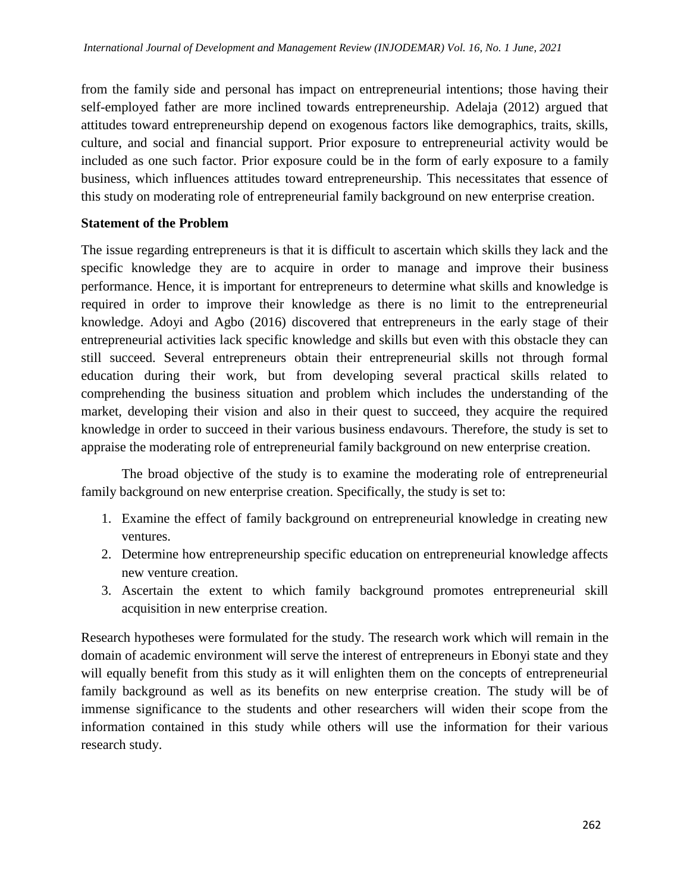from the family side and personal has impact on entrepreneurial intentions; those having their self-employed father are more inclined towards entrepreneurship. Adelaja (2012) argued that attitudes toward entrepreneurship depend on exogenous factors like demographics, traits, skills, culture, and social and financial support. Prior exposure to entrepreneurial activity would be included as one such factor. Prior exposure could be in the form of early exposure to a family business, which influences attitudes toward entrepreneurship. This necessitates that essence of this study on moderating role of entrepreneurial family background on new enterprise creation.

### **Statement of the Problem**

The issue regarding entrepreneurs is that it is difficult to ascertain which skills they lack and the specific knowledge they are to acquire in order to manage and improve their business performance. Hence, it is important for entrepreneurs to determine what skills and knowledge is required in order to improve their knowledge as there is no limit to the entrepreneurial knowledge. Adoyi and Agbo (2016) discovered that entrepreneurs in the early stage of their entrepreneurial activities lack specific knowledge and skills but even with this obstacle they can still succeed. Several entrepreneurs obtain their entrepreneurial skills not through formal education during their work, but from developing several practical skills related to comprehending the business situation and problem which includes the understanding of the market, developing their vision and also in their quest to succeed, they acquire the required knowledge in order to succeed in their various business endavours. Therefore, the study is set to appraise the moderating role of entrepreneurial family background on new enterprise creation.

The broad objective of the study is to examine the moderating role of entrepreneurial family background on new enterprise creation. Specifically, the study is set to:

- 1. Examine the effect of family background on entrepreneurial knowledge in creating new ventures.
- 2. Determine how entrepreneurship specific education on entrepreneurial knowledge affects new venture creation.
- 3. Ascertain the extent to which family background promotes entrepreneurial skill acquisition in new enterprise creation.

Research hypotheses were formulated for the study. The research work which will remain in the domain of academic environment will serve the interest of entrepreneurs in Ebonyi state and they will equally benefit from this study as it will enlighten them on the concepts of entrepreneurial family background as well as its benefits on new enterprise creation. The study will be of immense significance to the students and other researchers will widen their scope from the information contained in this study while others will use the information for their various research study.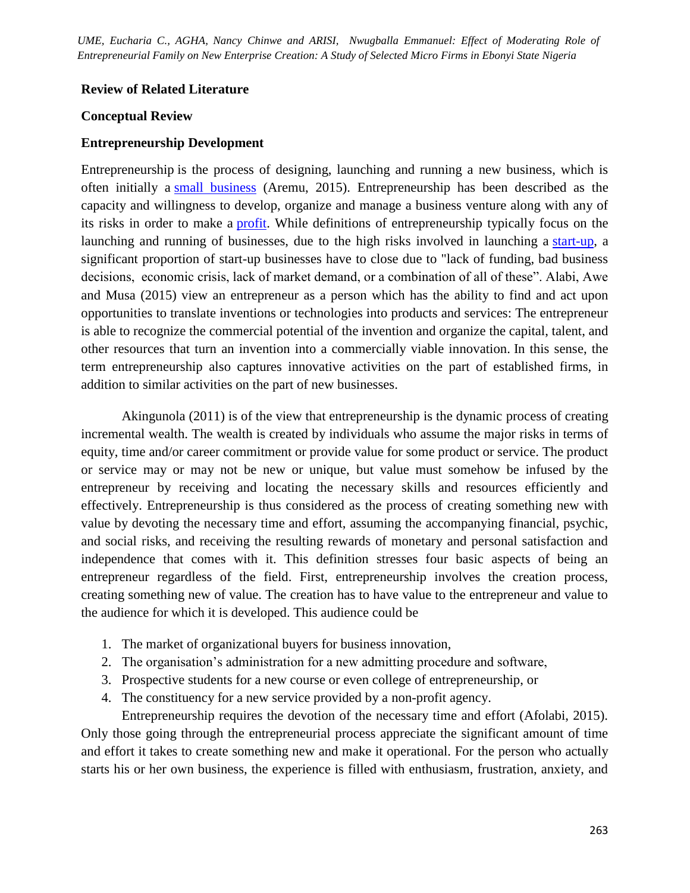#### **Review of Related Literature**

#### **Conceptual Review**

#### **Entrepreneurship Development**

Entrepreneurship is the process of designing, launching and running a new business, which is often initially a [small business](https://en.wikipedia.org/wiki/Small_business) (Aremu, 2015). Entrepreneurship has been described as the capacity and willingness to develop, organize and manage a business venture along with any of its risks in order to make a [profit.](https://en.wikipedia.org/wiki/Profit_(accounting)) While definitions of entrepreneurship typically focus on the launching and running of businesses, due to the high risks involved in launching a [start-up,](https://en.wikipedia.org/wiki/Start-up_company) a significant proportion of start-up businesses have to close due to "lack of funding, bad business decisions, economic crisis, lack of market demand, or a combination of all of these". Alabi, Awe and Musa (2015) view an entrepreneur as a person which has the ability to find and act upon opportunities to translate inventions or technologies into products and services: The entrepreneur is able to recognize the commercial potential of the invention and organize the capital, talent, and other resources that turn an invention into a commercially viable innovation. In this sense, the term entrepreneurship also captures innovative activities on the part of established firms, in addition to similar activities on the part of new businesses.

Akingunola (2011) is of the view that entrepreneurship is the dynamic process of creating incremental wealth. The wealth is created by individuals who assume the major risks in terms of equity, time and/or career commitment or provide value for some product or service. The product or service may or may not be new or unique, but value must somehow be infused by the entrepreneur by receiving and locating the necessary skills and resources efficiently and effectively. Entrepreneurship is thus considered as the process of creating something new with value by devoting the necessary time and effort, assuming the accompanying financial, psychic, and social risks, and receiving the resulting rewards of monetary and personal satisfaction and independence that comes with it. This definition stresses four basic aspects of being an entrepreneur regardless of the field. First, entrepreneurship involves the creation process, creating something new of value. The creation has to have value to the entrepreneur and value to the audience for which it is developed. This audience could be

- 1. The market of organizational buyers for business innovation,
- 2. The organisation's administration for a new admitting procedure and software,
- 3. Prospective students for a new course or even college of entrepreneurship, or
- 4. The constituency for a new service provided by a non-profit agency.

Entrepreneurship requires the devotion of the necessary time and effort (Afolabi, 2015). Only those going through the entrepreneurial process appreciate the significant amount of time and effort it takes to create something new and make it operational. For the person who actually starts his or her own business, the experience is filled with enthusiasm, frustration, anxiety, and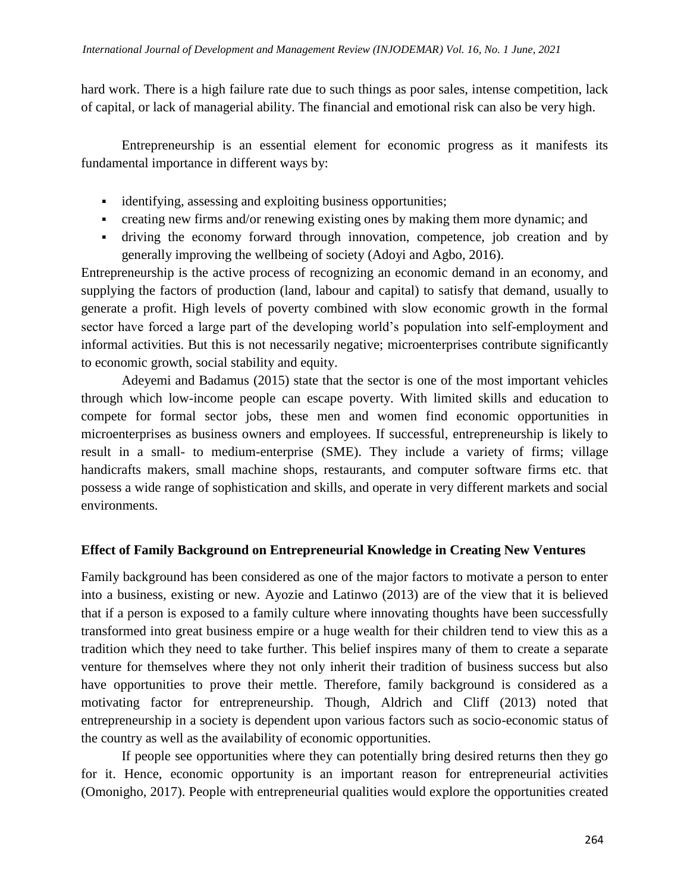hard work. There is a high failure rate due to such things as poor sales, intense competition, lack of capital, or lack of managerial ability. The financial and emotional risk can also be very high.

Entrepreneurship is an essential element for economic progress as it manifests its fundamental importance in different ways by:

- identifying, assessing and exploiting business opportunities;
- creating new firms and/or renewing existing ones by making them more dynamic; and
- driving the economy forward through innovation, competence, job creation and by generally improving the wellbeing of society (Adoyi and Agbo, 2016).

Entrepreneurship is the active process of recognizing an economic demand in an economy, and supplying the factors of production (land, labour and capital) to satisfy that demand, usually to generate a profit. High levels of poverty combined with slow economic growth in the formal sector have forced a large part of the developing world's population into self-employment and informal activities. But this is not necessarily negative; microenterprises contribute significantly to economic growth, social stability and equity.

Adeyemi and Badamus (2015) state that the sector is one of the most important vehicles through which low-income people can escape poverty. With limited skills and education to compete for formal sector jobs, these men and women find economic opportunities in microenterprises as business owners and employees. If successful, entrepreneurship is likely to result in a small- to medium-enterprise (SME). They include a variety of firms; village handicrafts makers, small machine shops, restaurants, and computer software firms etc. that possess a wide range of sophistication and skills, and operate in very different markets and social environments.

### **Effect of Family Background on Entrepreneurial Knowledge in Creating New Ventures**

Family background has been considered as one of the major factors to motivate a person to enter into a business, existing or new. Ayozie and Latinwo (2013) are of the view that it is believed that if a person is exposed to a family culture where innovating thoughts have been successfully transformed into great business empire or a huge wealth for their children tend to view this as a tradition which they need to take further. This belief inspires many of them to create a separate venture for themselves where they not only inherit their tradition of business success but also have opportunities to prove their mettle. Therefore, family background is considered as a motivating factor for entrepreneurship. Though, Aldrich and Cliff (2013) noted that entrepreneurship in a society is dependent upon various factors such as socio-economic status of the country as well as the availability of economic opportunities.

If people see opportunities where they can potentially bring desired returns then they go for it. Hence, economic opportunity is an important reason for entrepreneurial activities (Omonigho, 2017). People with entrepreneurial qualities would explore the opportunities created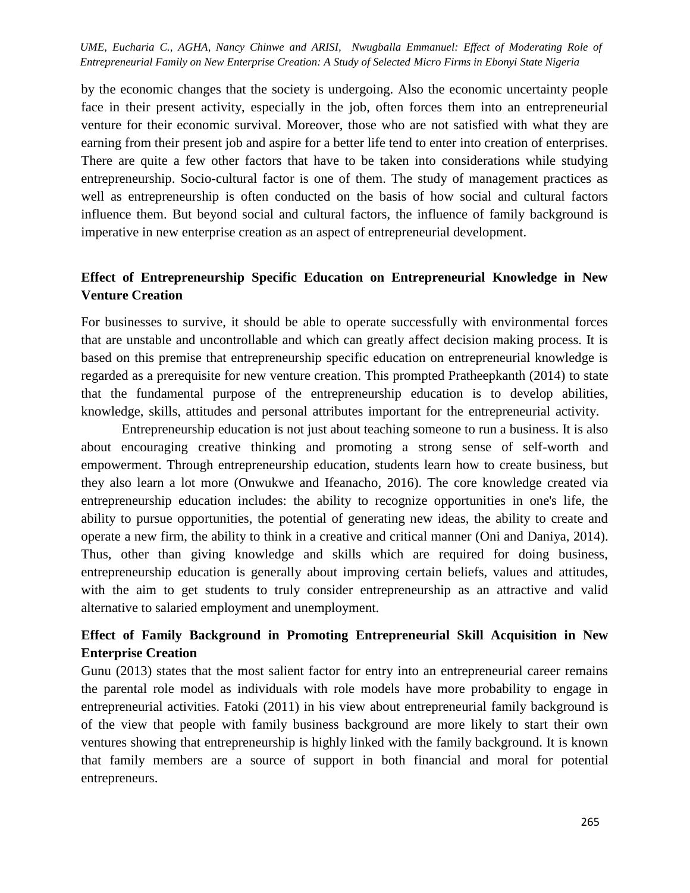by the economic changes that the society is undergoing. Also the economic uncertainty people face in their present activity, especially in the job, often forces them into an entrepreneurial venture for their economic survival. Moreover, those who are not satisfied with what they are earning from their present job and aspire for a better life tend to enter into creation of enterprises. There are quite a few other factors that have to be taken into considerations while studying entrepreneurship. Socio-cultural factor is one of them. The study of management practices as well as entrepreneurship is often conducted on the basis of how social and cultural factors influence them. But beyond social and cultural factors, the influence of family background is imperative in new enterprise creation as an aspect of entrepreneurial development.

## **Effect of Entrepreneurship Specific Education on Entrepreneurial Knowledge in New Venture Creation**

For businesses to survive, it should be able to operate successfully with environmental forces that are unstable and uncontrollable and which can greatly affect decision making process. It is based on this premise that entrepreneurship specific education on entrepreneurial knowledge is regarded as a prerequisite for new venture creation. This prompted Pratheepkanth (2014) to state that the fundamental purpose of the entrepreneurship education is to develop abilities, knowledge, skills, attitudes and personal attributes important for the entrepreneurial activity.

Entrepreneurship education is not just about teaching someone to run a business. It is also about encouraging creative thinking and promoting a strong sense of self-worth and empowerment. Through entrepreneurship education, students learn how to create business, but they also learn a lot more (Onwukwe and Ifeanacho, 2016). The core knowledge created via entrepreneurship education includes: the ability to recognize opportunities in one's life, the ability to pursue opportunities, the potential of generating new ideas, the ability to create and operate a new firm, the ability to think in a creative and critical manner (Oni and Daniya, 2014). Thus, other than giving knowledge and skills which are required for doing business, entrepreneurship education is generally about improving certain beliefs, values and attitudes, with the aim to get students to truly consider entrepreneurship as an attractive and valid alternative to salaried employment and unemployment.

# **Effect of Family Background in Promoting Entrepreneurial Skill Acquisition in New Enterprise Creation**

Gunu (2013) states that the most salient factor for entry into an entrepreneurial career remains the parental role model as individuals with role models have more probability to engage in entrepreneurial activities. Fatoki (2011) in his view about entrepreneurial family background is of the view that people with family business background are more likely to start their own ventures showing that entrepreneurship is highly linked with the family background. It is known that family members are a source of support in both financial and moral for potential entrepreneurs.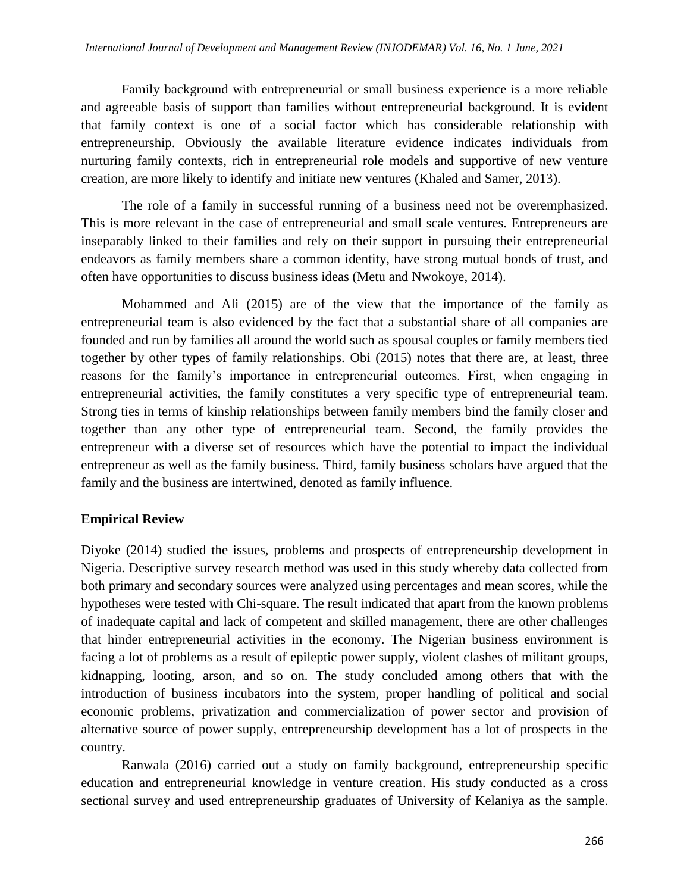Family background with entrepreneurial or small business experience is a more reliable and agreeable basis of support than families without entrepreneurial background. It is evident that family context is one of a social factor which has considerable relationship with entrepreneurship. Obviously the available literature evidence indicates individuals from nurturing family contexts, rich in entrepreneurial role models and supportive of new venture creation, are more likely to identify and initiate new ventures (Khaled and Samer, 2013).

The role of a family in successful running of a business need not be overemphasized. This is more relevant in the case of entrepreneurial and small scale ventures. Entrepreneurs are inseparably linked to their families and rely on their support in pursuing their entrepreneurial endeavors as family members share a common identity, have strong mutual bonds of trust, and often have opportunities to discuss business ideas (Metu and Nwokoye, 2014).

Mohammed and Ali (2015) are of the view that the importance of the family as entrepreneurial team is also evidenced by the fact that a substantial share of all companies are founded and run by families all around the world such as spousal couples or family members tied together by other types of family relationships. Obi (2015) notes that there are, at least, three reasons for the family's importance in entrepreneurial outcomes. First, when engaging in entrepreneurial activities, the family constitutes a very specific type of entrepreneurial team. Strong ties in terms of kinship relationships between family members bind the family closer and together than any other type of entrepreneurial team. Second, the family provides the entrepreneur with a diverse set of resources which have the potential to impact the individual entrepreneur as well as the family business. Third, family business scholars have argued that the family and the business are intertwined, denoted as family influence.

#### **Empirical Review**

Diyoke (2014) studied the issues, problems and prospects of entrepreneurship development in Nigeria. Descriptive survey research method was used in this study whereby data collected from both primary and secondary sources were analyzed using percentages and mean scores, while the hypotheses were tested with Chi-square. The result indicated that apart from the known problems of inadequate capital and lack of competent and skilled management, there are other challenges that hinder entrepreneurial activities in the economy. The Nigerian business environment is facing a lot of problems as a result of epileptic power supply, violent clashes of militant groups, kidnapping, looting, arson, and so on. The study concluded among others that with the introduction of business incubators into the system, proper handling of political and social economic problems, privatization and commercialization of power sector and provision of alternative source of power supply, entrepreneurship development has a lot of prospects in the country.

Ranwala (2016) carried out a study on family background, entrepreneurship specific education and entrepreneurial knowledge in venture creation. His study conducted as a cross sectional survey and used entrepreneurship graduates of University of Kelaniya as the sample.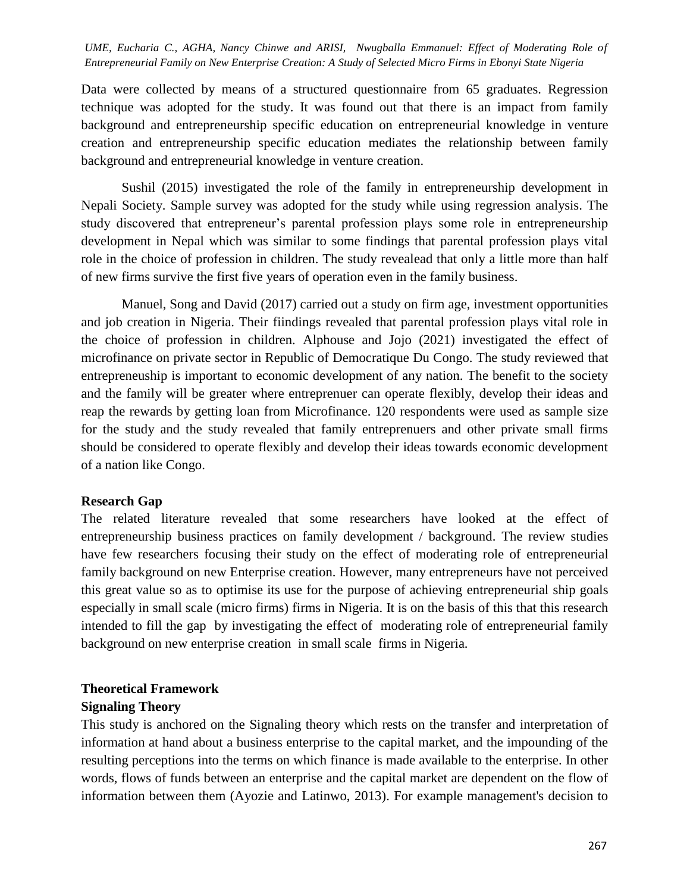Data were collected by means of a structured questionnaire from 65 graduates. Regression technique was adopted for the study. It was found out that there is an impact from family background and entrepreneurship specific education on entrepreneurial knowledge in venture creation and entrepreneurship specific education mediates the relationship between family background and entrepreneurial knowledge in venture creation.

Sushil (2015) investigated the role of the family in entrepreneurship development in Nepali Society. Sample survey was adopted for the study while using regression analysis. The study discovered that entrepreneur's parental profession plays some role in entrepreneurship development in Nepal which was similar to some findings that parental profession plays vital role in the choice of profession in children. The study revealead that only a little more than half of new firms survive the first five years of operation even in the family business.

Manuel, Song and David (2017) carried out a study on firm age, investment opportunities and job creation in Nigeria. Their fiindings revealed that parental profession plays vital role in the choice of profession in children. Alphouse and Jojo (2021) investigated the effect of microfinance on private sector in Republic of Democratique Du Congo. The study reviewed that entrepreneuship is important to economic development of any nation. The benefit to the society and the family will be greater where entreprenuer can operate flexibly, develop their ideas and reap the rewards by getting loan from Microfinance. 120 respondents were used as sample size for the study and the study revealed that family entreprenuers and other private small firms should be considered to operate flexibly and develop their ideas towards economic development of a nation like Congo.

#### **Research Gap**

The related literature revealed that some researchers have looked at the effect of entrepreneurship business practices on family development / background. The review studies have few researchers focusing their study on the effect of moderating role of entrepreneurial family background on new Enterprise creation. However, many entrepreneurs have not perceived this great value so as to optimise its use for the purpose of achieving entrepreneurial ship goals especially in small scale (micro firms) firms in Nigeria. It is on the basis of this that this research intended to fill the gap by investigating the effect of moderating role of entrepreneurial family background on new enterprise creation in small scale firms in Nigeria.

#### **Theoretical Framework**

#### **Signaling Theory**

This study is anchored on the Signaling theory which rests on the transfer and interpretation of information at hand about a business enterprise to the capital market, and the impounding of the resulting perceptions into the terms on which finance is made available to the enterprise. In other words, flows of funds between an enterprise and the capital market are dependent on the flow of information between them (Ayozie and Latinwo, 2013). For example management's decision to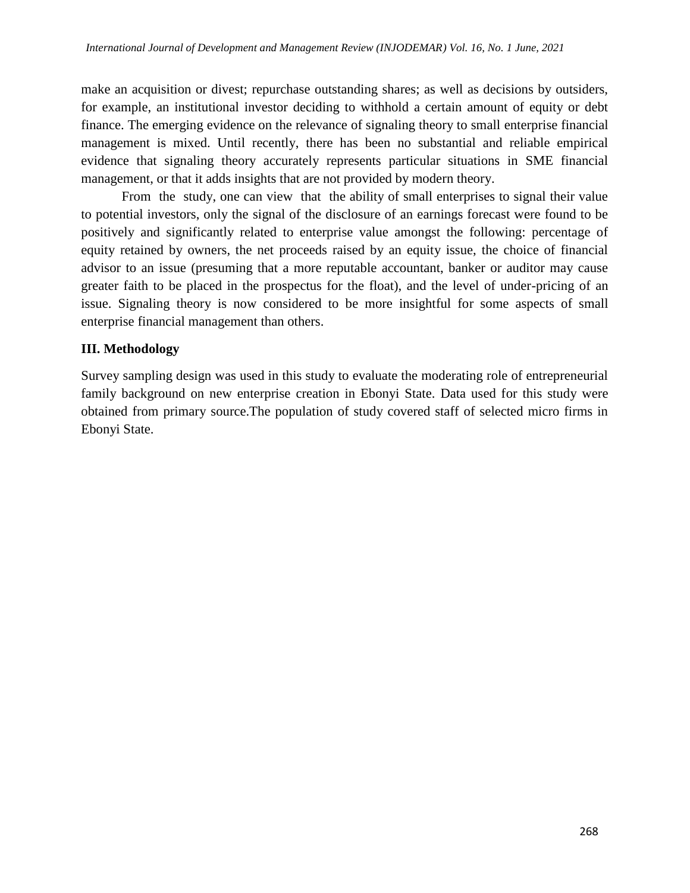make an acquisition or divest; repurchase outstanding shares; as well as decisions by outsiders, for example, an institutional investor deciding to withhold a certain amount of equity or debt finance. The emerging evidence on the relevance of signaling theory to small enterprise financial management is mixed. Until recently, there has been no substantial and reliable empirical evidence that signaling theory accurately represents particular situations in SME financial management, or that it adds insights that are not provided by modern theory.

From the study, one can view that the ability of small enterprises to signal their value to potential investors, only the signal of the disclosure of an earnings forecast were found to be positively and significantly related to enterprise value amongst the following: percentage of equity retained by owners, the net proceeds raised by an equity issue, the choice of financial advisor to an issue (presuming that a more reputable accountant, banker or auditor may cause greater faith to be placed in the prospectus for the float), and the level of under-pricing of an issue. Signaling theory is now considered to be more insightful for some aspects of small enterprise financial management than others.

#### **III. Methodology**

Survey sampling design was used in this study to evaluate the moderating role of entrepreneurial family background on new enterprise creation in Ebonyi State. Data used for this study were obtained from primary source.The population of study covered staff of selected micro firms in Ebonyi State.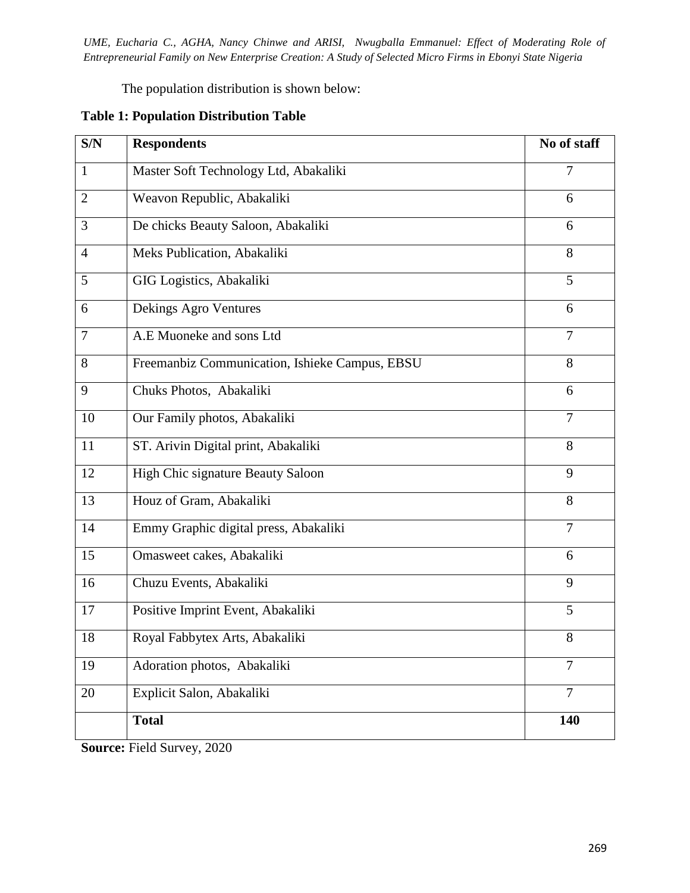The population distribution is shown below:

| S/N            | <b>Respondents</b>                             | No of staff    |
|----------------|------------------------------------------------|----------------|
| $\mathbf{1}$   | Master Soft Technology Ltd, Abakaliki          | 7              |
| 2              | Weavon Republic, Abakaliki                     | 6              |
| 3              | De chicks Beauty Saloon, Abakaliki             | 6              |
| $\overline{4}$ | Meks Publication, Abakaliki                    | 8              |
| 5              | GIG Logistics, Abakaliki                       | 5              |
| 6              | Dekings Agro Ventures                          | 6              |
| $\tau$         | A.E Muoneke and sons Ltd                       | $\overline{7}$ |
| 8              | Freemanbiz Communication, Ishieke Campus, EBSU | 8              |
| 9              | Chuks Photos, Abakaliki                        | 6              |
| 10             | Our Family photos, Abakaliki                   | $\overline{7}$ |
| 11             | ST. Arivin Digital print, Abakaliki            | 8              |
| 12             | High Chic signature Beauty Saloon              | 9              |
| 13             | Houz of Gram, Abakaliki                        | 8              |
| 14             | Emmy Graphic digital press, Abakaliki          | $\overline{7}$ |
| 15             | Omasweet cakes, Abakaliki                      | 6              |
| 16             | Chuzu Events, Abakaliki                        | 9              |
| 17             | Positive Imprint Event, Abakaliki              | 5              |
| 18             | Royal Fabbytex Arts, Abakaliki                 | 8              |
| 19             | Adoration photos, Abakaliki                    | 7              |
| 20             | Explicit Salon, Abakaliki                      | $\overline{7}$ |
|                | <b>Total</b>                                   | 140            |

### **Table 1: Population Distribution Table**

**Source:** Field Survey, 2020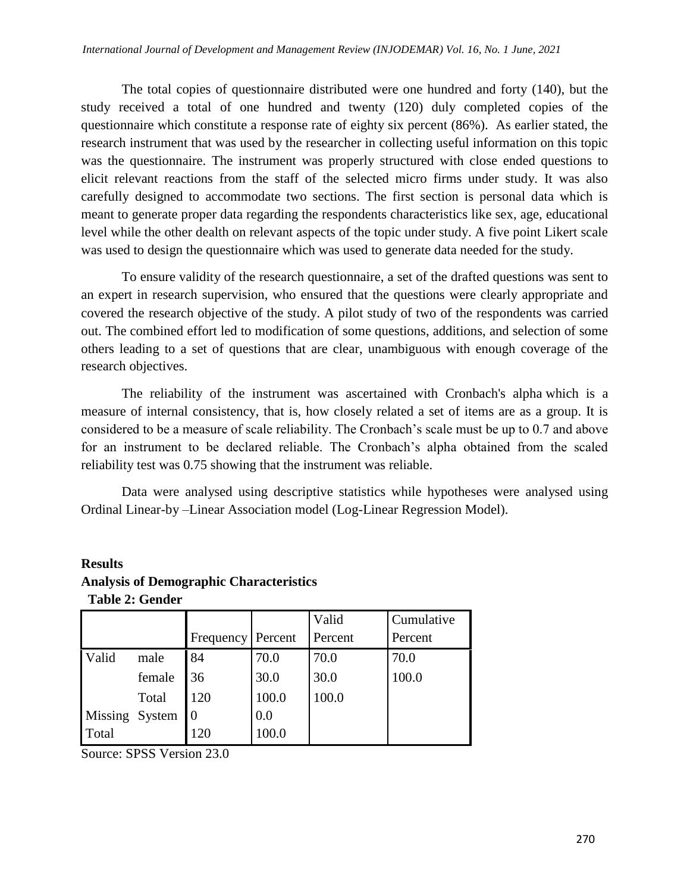The total copies of questionnaire distributed were one hundred and forty (140), but the study received a total of one hundred and twenty (120) duly completed copies of the questionnaire which constitute a response rate of eighty six percent (86%). As earlier stated, the research instrument that was used by the researcher in collecting useful information on this topic was the questionnaire. The instrument was properly structured with close ended questions to elicit relevant reactions from the staff of the selected micro firms under study. It was also carefully designed to accommodate two sections. The first section is personal data which is meant to generate proper data regarding the respondents characteristics like sex, age, educational level while the other dealth on relevant aspects of the topic under study. A five point Likert scale was used to design the questionnaire which was used to generate data needed for the study.

To ensure validity of the research questionnaire, a set of the drafted questions was sent to an expert in research supervision, who ensured that the questions were clearly appropriate and covered the research objective of the study. A pilot study of two of the respondents was carried out. The combined effort led to modification of some questions, additions, and selection of some others leading to a set of questions that are clear, unambiguous with enough coverage of the research objectives.

The reliability of the instrument was ascertained with Cronbach's alpha which is a measure of internal consistency, that is, how closely related a set of items are as a group. It is considered to be a measure of scale reliability. The Cronbach's scale must be up to 0.7 and above for an instrument to be declared reliable. The Cronbach's alpha obtained from the scaled reliability test was 0.75 showing that the instrument was reliable.

Data were analysed using descriptive statistics while hypotheses were analysed using Ordinal Linear-by –Linear Association model (Log-Linear Regression Model).

|                |        |                     |       | Valid   | Cumulative |
|----------------|--------|---------------------|-------|---------|------------|
|                |        | Frequency   Percent |       | Percent | Percent    |
| Valid          | male   | 84                  | 70.0  | 70.0    | 70.0       |
|                | female | 36                  | 30.0  | 30.0    | 100.0      |
|                | Total  | 120                 | 100.0 | 100.0   |            |
| Missing System |        |                     | 0.0   |         |            |
| Total          |        | 120                 |       |         |            |

## **Results Analysis of Demographic Characteristics Table 2: Gender**

Source: SPSS Version 23.0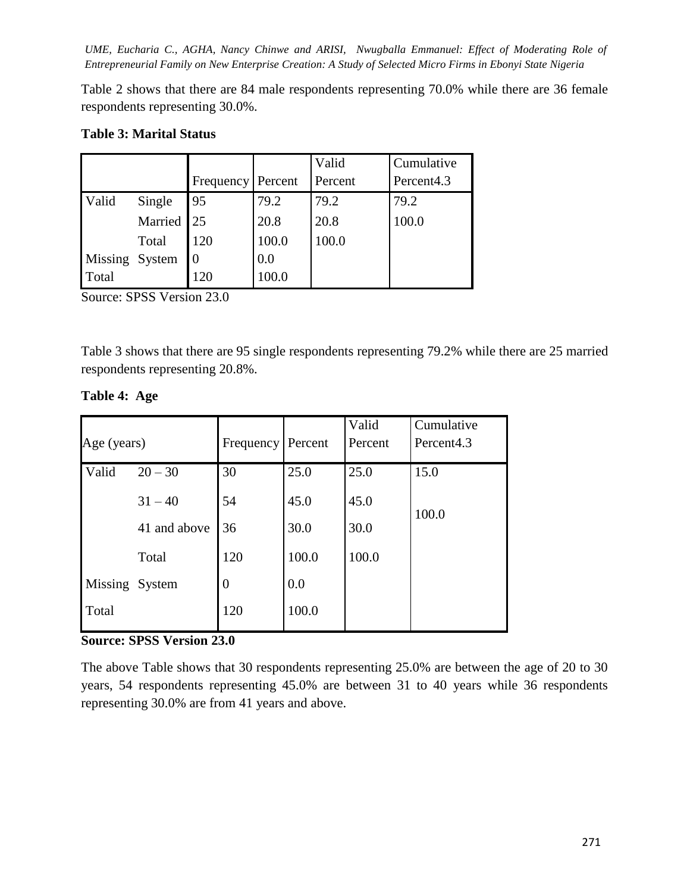Table 2 shows that there are 84 male respondents representing 70.0% while there are 36 female respondents representing 30.0%.

### **Table 3: Marital Status**

|                |            |                     |       | Valid   | Cumulative             |
|----------------|------------|---------------------|-------|---------|------------------------|
|                |            | Frequency   Percent |       | Percent | Percent <sub>4.3</sub> |
| Valid          | Single     | 95                  | 79.2  | 79.2    | 79.2                   |
|                | Married 25 |                     | 20.8  | 20.8    | 100.0                  |
|                | Total      | 120                 | 100.0 | 100.0   |                        |
| Missing System |            |                     | 0.0   |         |                        |
| Total          |            | 120                 | 100.0 |         |                        |

Source: SPSS Version 23.0

Table 3 shows that there are 95 single respondents representing 79.2% while there are 25 married respondents representing 20.8%.

|                |              |           |         | Valid   | Cumulative             |
|----------------|--------------|-----------|---------|---------|------------------------|
| Age (years)    |              | Frequency | Percent | Percent | Percent <sub>4.3</sub> |
| Valid          | $20 - 30$    | 30        | 25.0    | 25.0    | 15.0                   |
|                | $31 - 40$    | 54        | 45.0    | 45.0    |                        |
|                | 41 and above | 36        | 30.0    | 30.0    | 100.0                  |
|                | Total        | 120       | 100.0   | 100.0   |                        |
| Missing System |              | $\theta$  | 0.0     |         |                        |
| Total          |              | 120       | 100.0   |         |                        |

### **Table 4: Age**

#### **Source: SPSS Version 23.0**

The above Table shows that 30 respondents representing 25.0% are between the age of 20 to 30 years, 54 respondents representing 45.0% are between 31 to 40 years while 36 respondents representing 30.0% are from 41 years and above.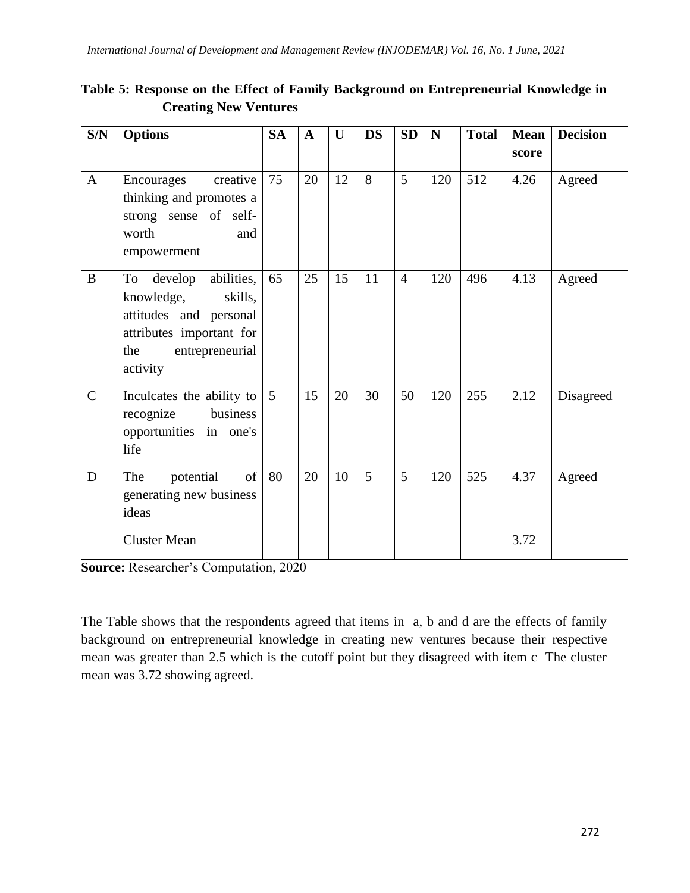| S/N          | <b>Options</b>                                                                                                                                   | <b>SA</b> | $\mathbf{A}$ | $\mathbf{U}$ | <b>DS</b> | <b>SD</b>      | ${\bf N}$ | <b>Total</b> | <b>Mean</b><br>score | <b>Decision</b> |
|--------------|--------------------------------------------------------------------------------------------------------------------------------------------------|-----------|--------------|--------------|-----------|----------------|-----------|--------------|----------------------|-----------------|
| $\mathbf{A}$ | creative<br>Encourages<br>thinking and promotes a<br>strong sense of self-<br>worth<br>and<br>empowerment                                        | 75        | 20           | 12           | 8         | 5              | 120       | 512          | 4.26                 | Agreed          |
| $\bf{B}$     | To<br>develop<br>abilities,<br>knowledge,<br>skills,<br>attitudes and personal<br>attributes important for<br>entrepreneurial<br>the<br>activity | 65        | 25           | 15           | 11        | $\overline{4}$ | 120       | 496          | 4.13                 | Agreed          |
| $\mathsf{C}$ | Inculcates the ability to<br>recognize<br>business<br>opportunities in one's<br>life                                                             | 5         | 15           | 20           | 30        | 50             | 120       | 255          | 2.12                 | Disagreed       |
| D            | of<br>The<br>potential<br>generating new business<br>ideas                                                                                       | 80        | 20           | 10           | 5         | 5              | 120       | 525          | 4.37                 | Agreed          |
|              | <b>Cluster Mean</b>                                                                                                                              |           |              |              |           |                |           |              | 3.72                 |                 |

**Table 5: Response on the Effect of Family Background on Entrepreneurial Knowledge in Creating New Ventures**

**Source:** Researcher's Computation, 2020

The Table shows that the respondents agreed that items in a, b and d are the effects of family background on entrepreneurial knowledge in creating new ventures because their respective mean was greater than 2.5 which is the cutoff point but they disagreed with ítem c The cluster mean was 3.72 showing agreed.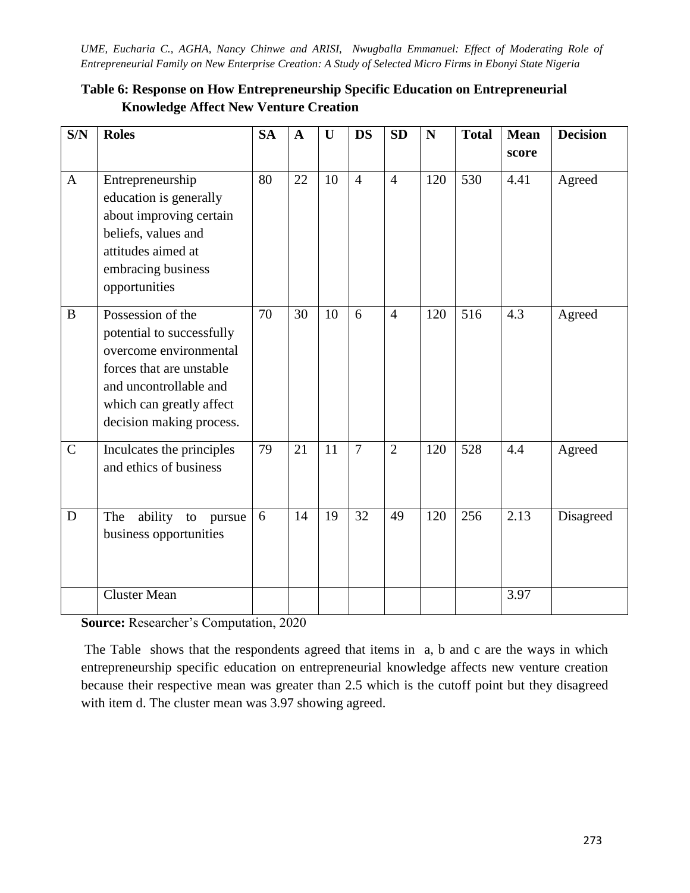| S/N          | <b>Roles</b>                                                                                                                                                                           | <b>SA</b> | $\mathbf{A}$ | U  | <b>DS</b>      | <b>SD</b>      | N   | <b>Total</b> | <b>Mean</b> | <b>Decision</b> |
|--------------|----------------------------------------------------------------------------------------------------------------------------------------------------------------------------------------|-----------|--------------|----|----------------|----------------|-----|--------------|-------------|-----------------|
|              |                                                                                                                                                                                        |           |              |    |                |                |     |              | score       |                 |
| $\mathbf{A}$ | Entrepreneurship<br>education is generally<br>about improving certain<br>beliefs, values and<br>attitudes aimed at<br>embracing business<br>opportunities                              | 80        | 22           | 10 | $\overline{4}$ | $\overline{4}$ | 120 | 530          | 4.41        | Agreed          |
| $\bf{B}$     | Possession of the<br>potential to successfully<br>overcome environmental<br>forces that are unstable<br>and uncontrollable and<br>which can greatly affect<br>decision making process. | 70        | 30           | 10 | 6              | $\overline{4}$ | 120 | 516          | 4.3         | Agreed          |
| $\mathsf{C}$ | Inculcates the principles<br>and ethics of business                                                                                                                                    | 79        | 21           | 11 | $\overline{7}$ | $\overline{2}$ | 120 | 528          | 4.4         | Agreed          |
| D            | The<br>ability<br>to<br>pursue<br>business opportunities                                                                                                                               | 6         | 14           | 19 | 32             | 49             | 120 | 256          | 2.13        | Disagreed       |
|              | <b>Cluster Mean</b>                                                                                                                                                                    |           |              |    |                |                |     |              | 3.97        |                 |

# **Table 6: Response on How Entrepreneurship Specific Education on Entrepreneurial Knowledge Affect New Venture Creation**

**Source:** Researcher's Computation, 2020

The Table shows that the respondents agreed that items in a, b and c are the ways in which entrepreneurship specific education on entrepreneurial knowledge affects new venture creation because their respective mean was greater than 2.5 which is the cutoff point but they disagreed with item d. The cluster mean was 3.97 showing agreed.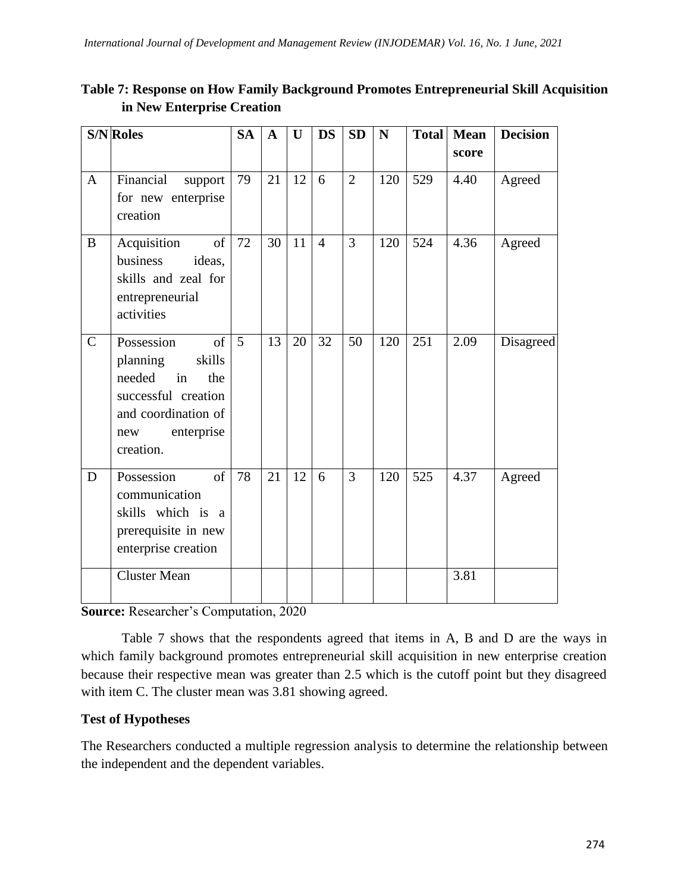| Table 7: Response on How Family Background Promotes Entrepreneurial Skill Acquisition |  |
|---------------------------------------------------------------------------------------|--|
| in New Enterprise Creation                                                            |  |

|              | <b>S/N</b> Roles                                                                                                                              | <b>SA</b> | $\mathbf{A}$ | U  | <b>DS</b>      | SD             | $\mathbf N$ | <b>Total</b> | <b>Mean</b> | <b>Decision</b> |
|--------------|-----------------------------------------------------------------------------------------------------------------------------------------------|-----------|--------------|----|----------------|----------------|-------------|--------------|-------------|-----------------|
|              |                                                                                                                                               |           |              |    |                |                |             |              | score       |                 |
| $\mathbf{A}$ | Financial<br>support<br>for new enterprise<br>creation                                                                                        | 79        | 21           | 12 | 6              | $\overline{2}$ | 120         | 529          | 4.40        | Agreed          |
| $\bf{B}$     | of<br>Acquisition<br>business<br>ideas,<br>skills and zeal for<br>entrepreneurial<br>activities                                               | 72        | 30           | 11 | $\overline{4}$ | 3              | 120         | 524          | 4.36        | Agreed          |
| $\mathsf{C}$ | Possession<br>of<br>planning<br>skills<br>needed<br>in<br>the<br>successful creation<br>and coordination of<br>enterprise<br>new<br>creation. | 5         | 13           | 20 | 32             | 50             | 120         | 251          | 2.09        | Disagreed       |
| D            | Possession<br>of<br>communication<br>skills which is a<br>prerequisite in new<br>enterprise creation                                          | 78        | 21           | 12 | 6              | 3              | 120         | 525          | 4.37        | Agreed          |
|              | <b>Cluster Mean</b>                                                                                                                           |           |              |    |                |                |             |              | 3.81        |                 |

**Source:** Researcher's Computation, 2020

Table 7 shows that the respondents agreed that items in A, B and D are the ways in which family background promotes entrepreneurial skill acquisition in new enterprise creation because their respective mean was greater than 2.5 which is the cutoff point but they disagreed with item C. The cluster mean was 3.81 showing agreed.

### **Test of Hypotheses**

The Researchers conducted a multiple regression analysis to determine the relationship between the independent and the dependent variables.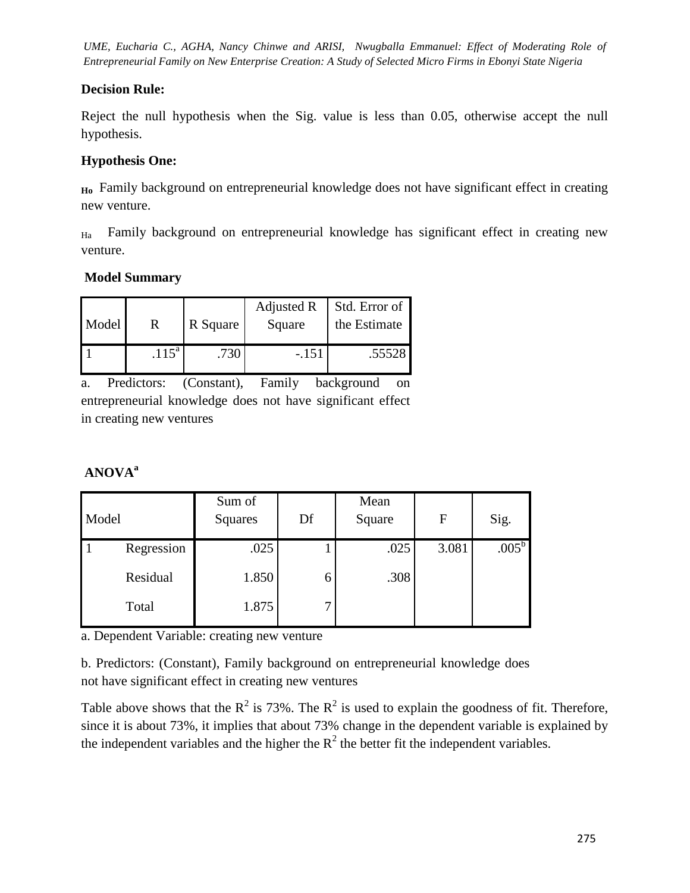### **Decision Rule:**

Reject the null hypothesis when the Sig. value is less than 0.05, otherwise accept the null hypothesis.

## **Hypothesis One:**

**Ho** Family background on entrepreneurial knowledge does not have significant effect in creating new venture.

 $H<sub>Ha</sub>$  Family background on entrepreneurial knowledge has significant effect in creating new venture.

## **Model Summary**

| Model | R          | R Square | Adjusted R<br>Square | Std. Error of<br>the Estimate |
|-------|------------|----------|----------------------|-------------------------------|
|       | $.115^{a}$ |          | -.151                | .55528                        |

a. Predictors: (Constant), Family background on entrepreneurial knowledge does not have significant effect in creating new ventures

# **ANOVA<sup>a</sup>**

| Model |            | Sum of<br>Squares | Df | Mean<br>Square | $\mathbf F$ | Sig.           |
|-------|------------|-------------------|----|----------------|-------------|----------------|
|       | Regression | .025              |    | .025           | 3.081       | $.005^{\rm b}$ |
|       | Residual   | 1.850             | 6  | .308           |             |                |
|       | Total      | 1.875             | −  |                |             |                |

a. Dependent Variable: creating new venture

b. Predictors: (Constant), Family background on entrepreneurial knowledge does not have significant effect in creating new ventures

Table above shows that the  $R^2$  is 73%. The  $R^2$  is used to explain the goodness of fit. Therefore, since it is about 73%, it implies that about 73% change in the dependent variable is explained by the independent variables and the higher the  $R^2$  the better fit the independent variables.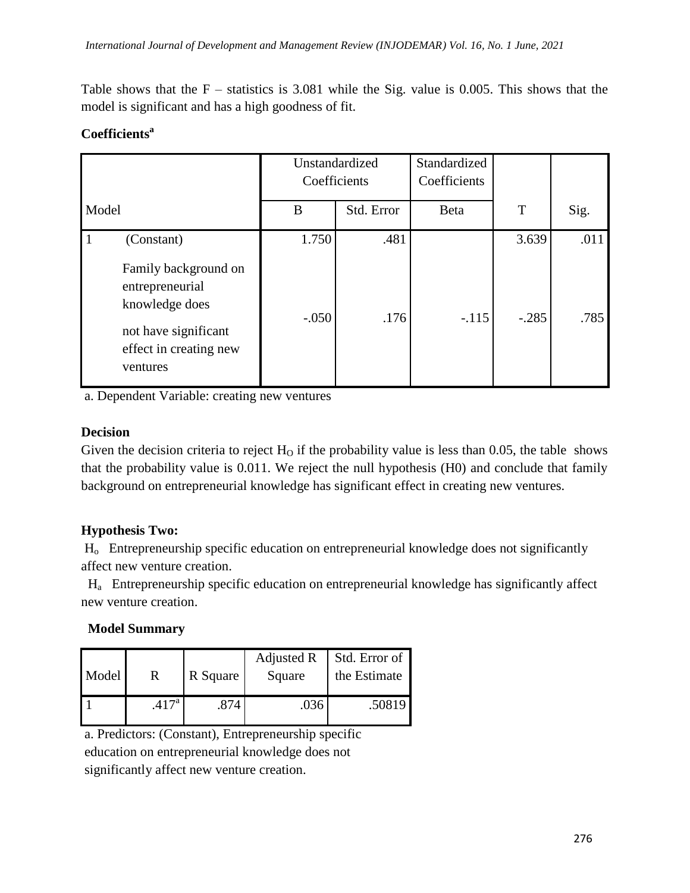Table shows that the  $F -$  statistics is 3.081 while the Sig. value is 0.005. This shows that the model is significant and has a high goodness of fit.

## **Coefficients<sup>a</sup>**

|                                                                                                                         | Unstandardized<br>Coefficients |            | Standardized<br>Coefficients |         |      |
|-------------------------------------------------------------------------------------------------------------------------|--------------------------------|------------|------------------------------|---------|------|
| Model                                                                                                                   | B                              | Std. Error | <b>Beta</b>                  | T       | Sig. |
| $\mathbf{1}$<br>(Constant)                                                                                              | 1.750                          | .481       |                              | 3.639   | .011 |
| Family background on<br>entrepreneurial<br>knowledge does<br>not have significant<br>effect in creating new<br>ventures | $-.050$                        | .176       | $-.115$                      | $-.285$ | .785 |

a. Dependent Variable: creating new ventures

### **Decision**

Given the decision criteria to reject  $H_0$  if the probability value is less than 0.05, the table shows that the probability value is 0.011. We reject the null hypothesis (H0) and conclude that family background on entrepreneurial knowledge has significant effect in creating new ventures.

### **Hypothesis Two:**

Ho Entrepreneurship specific education on entrepreneurial knowledge does not significantly affect new venture creation.

 Ha Entrepreneurship specific education on entrepreneurial knowledge has significantly affect new venture creation.

### **Model Summary**

| Model | R                 | R Square | Adjusted R<br>Square | Std. Error of<br>the Estimate |  |
|-------|-------------------|----------|----------------------|-------------------------------|--|
|       | .417 <sup>a</sup> | .874     | .036                 | .50819                        |  |

a. Predictors: (Constant), Entrepreneurship specific education on entrepreneurial knowledge does not significantly affect new venture creation.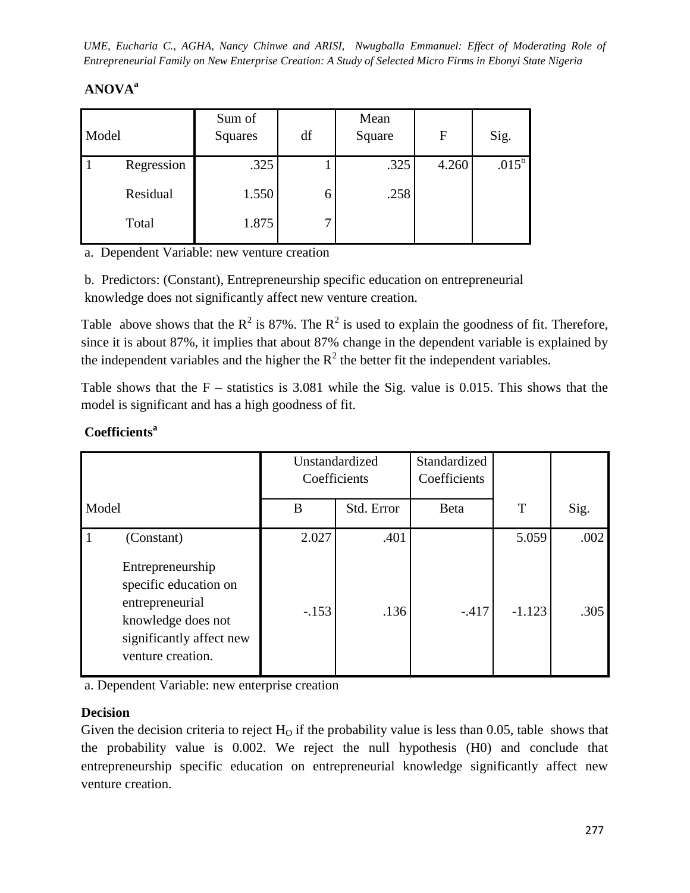# **ANOVA<sup>a</sup>**

| Model |            | Sum of<br>Squares | df | Mean<br>Square | $\mathbf F$ | Sig.       |
|-------|------------|-------------------|----|----------------|-------------|------------|
|       | Regression | .325              |    | .325           | 4.260       | $.015^{b}$ |
|       | Residual   | 1.550             |    | .258           |             |            |
|       | Total      | 1.875             | ⇁  |                |             |            |

a. Dependent Variable: new venture creation

b. Predictors: (Constant), Entrepreneurship specific education on entrepreneurial knowledge does not significantly affect new venture creation.

Table above shows that the  $R^2$  is 87%. The  $R^2$  is used to explain the goodness of fit. Therefore, since it is about 87%, it implies that about 87% change in the dependent variable is explained by the independent variables and the higher the  $R^2$  the better fit the independent variables.

Table shows that the  $F -$  statistics is 3.081 while the Sig. value is 0.015. This shows that the model is significant and has a high goodness of fit.

|                                                                                                                 | Unstandardized<br>Coefficients |            | Standardized<br>Coefficients |          |      |
|-----------------------------------------------------------------------------------------------------------------|--------------------------------|------------|------------------------------|----------|------|
| Model                                                                                                           | B                              | Std. Error | Beta                         | T        | Sig. |
| (Constant)<br>Entrepreneurship                                                                                  | 2.027                          | .401       |                              | 5.059    | .002 |
| specific education on<br>entrepreneurial<br>knowledge does not<br>significantly affect new<br>venture creation. | $-.153$                        | .136       | $-.417$                      | $-1.123$ | .305 |

## **Coefficients<sup>a</sup>**

a. Dependent Variable: new enterprise creation

### **Decision**

Given the decision criteria to reject  $H_0$  if the probability value is less than 0.05, table shows that the probability value is 0.002. We reject the null hypothesis (H0) and conclude that entrepreneurship specific education on entrepreneurial knowledge significantly affect new venture creation.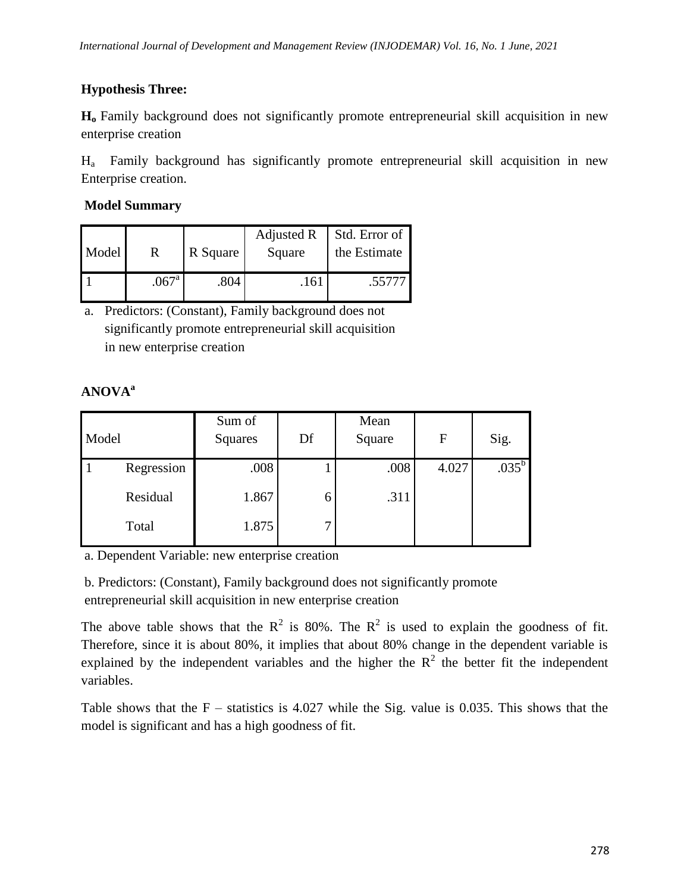# **Hypothesis Three:**

**H<sup>o</sup>** Family background does not significantly promote entrepreneurial skill acquisition in new enterprise creation

Ha Family background has significantly promote entrepreneurial skill acquisition in new Enterprise creation.

## **Model Summary**

| Model |                     | R Square | Adjusted R<br>Square | Std. Error of<br>the Estimate |  |
|-------|---------------------|----------|----------------------|-------------------------------|--|
|       | $.067$ <sup>a</sup> | .804     | .161                 | .55777                        |  |

a. Predictors: (Constant), Family background does not significantly promote entrepreneurial skill acquisition in new enterprise creation

# **ANOVA<sup>a</sup>**

| Model |            | Sum of<br>Squares | Df | Mean<br>Square | F     | Sig.           |
|-------|------------|-------------------|----|----------------|-------|----------------|
|       | Regression | .008              |    | .008           | 4.027 | $.035^{\rm b}$ |
|       | Residual   | 1.867             |    | .311           |       |                |
|       | Total      | 1.875             | ⇁  |                |       |                |

a. Dependent Variable: new enterprise creation

b. Predictors: (Constant), Family background does not significantly promote entrepreneurial skill acquisition in new enterprise creation

The above table shows that the  $R^2$  is 80%. The  $R^2$  is used to explain the goodness of fit. Therefore, since it is about 80%, it implies that about 80% change in the dependent variable is explained by the independent variables and the higher the  $R^2$  the better fit the independent variables.

Table shows that the  $F -$  statistics is 4.027 while the Sig. value is 0.035. This shows that the model is significant and has a high goodness of fit.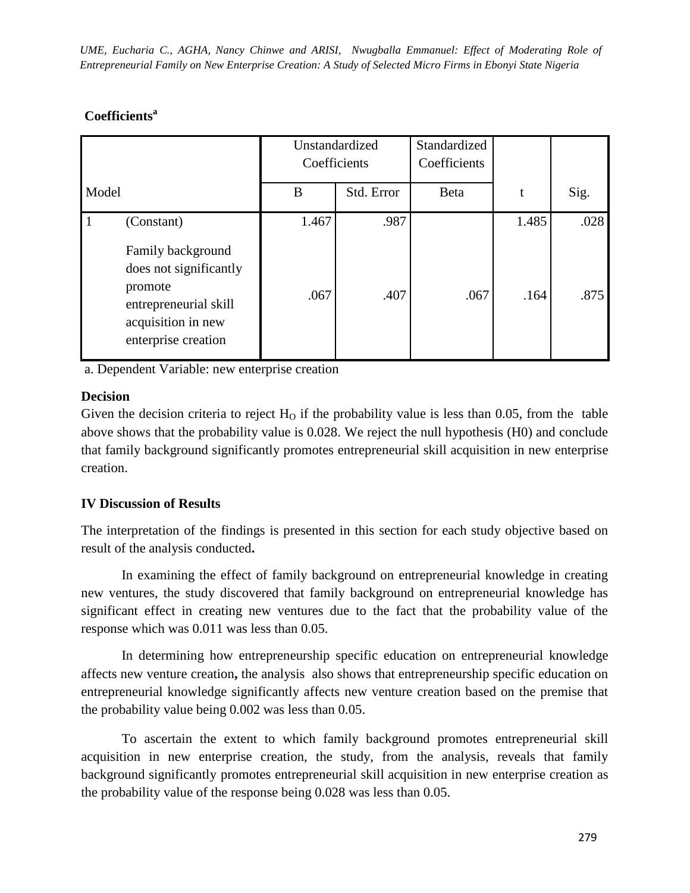## **Coefficients<sup>a</sup>**

|              |                                                                               | Unstandardized<br>Coefficients |            | Standardized<br>Coefficients |       |      |
|--------------|-------------------------------------------------------------------------------|--------------------------------|------------|------------------------------|-------|------|
| Model        |                                                                               | B                              | Std. Error | <b>Beta</b>                  | t     | Sig. |
| $\mathbf{1}$ | (Constant)<br>Family background<br>does not significantly                     | 1.467                          | .987       |                              | 1.485 | .028 |
|              | promote<br>entrepreneurial skill<br>acquisition in new<br>enterprise creation | .067                           | .407       | .067                         | .164  | .875 |

a. Dependent Variable: new enterprise creation

### **Decision**

Given the decision criteria to reject  $H<sub>O</sub>$  if the probability value is less than 0.05, from the table above shows that the probability value is 0.028. We reject the null hypothesis (H0) and conclude that family background significantly promotes entrepreneurial skill acquisition in new enterprise creation.

### **IV Discussion of Results**

The interpretation of the findings is presented in this section for each study objective based on result of the analysis conducted**.** 

In examining the effect of family background on entrepreneurial knowledge in creating new ventures, the study discovered that family background on entrepreneurial knowledge has significant effect in creating new ventures due to the fact that the probability value of the response which was 0.011 was less than 0.05.

In determining how entrepreneurship specific education on entrepreneurial knowledge affects new venture creation**,** the analysis also shows that entrepreneurship specific education on entrepreneurial knowledge significantly affects new venture creation based on the premise that the probability value being 0.002 was less than 0.05.

To ascertain the extent to which family background promotes entrepreneurial skill acquisition in new enterprise creation, the study, from the analysis, reveals that family background significantly promotes entrepreneurial skill acquisition in new enterprise creation as the probability value of the response being 0.028 was less than 0.05.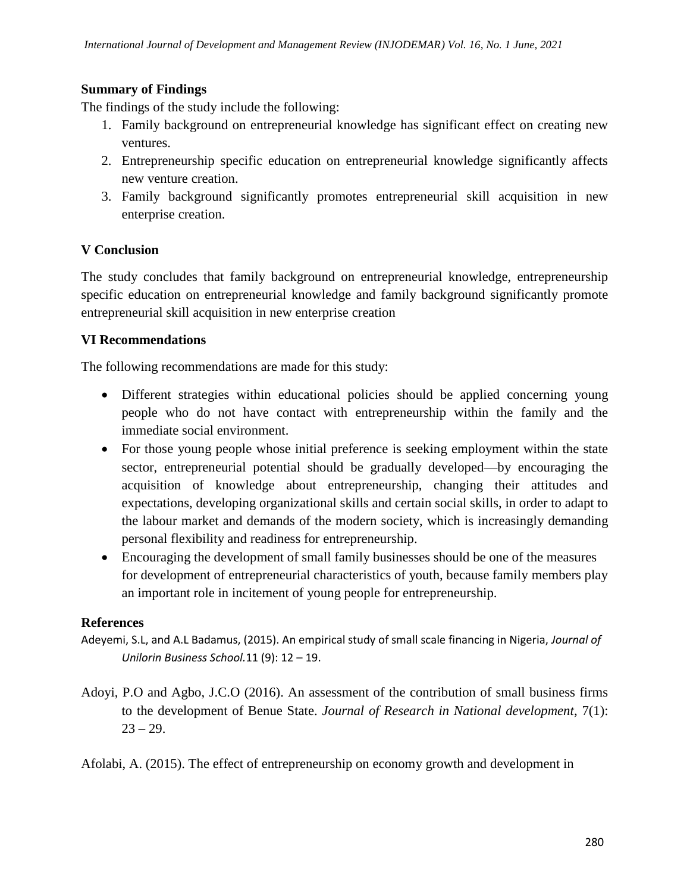### **Summary of Findings**

The findings of the study include the following:

- 1. Family background on entrepreneurial knowledge has significant effect on creating new ventures.
- 2. Entrepreneurship specific education on entrepreneurial knowledge significantly affects new venture creation.
- 3. Family background significantly promotes entrepreneurial skill acquisition in new enterprise creation.

#### **V Conclusion**

The study concludes that family background on entrepreneurial knowledge, entrepreneurship specific education on entrepreneurial knowledge and family background significantly promote entrepreneurial skill acquisition in new enterprise creation

#### **VI Recommendations**

The following recommendations are made for this study:

- Different strategies within educational policies should be applied concerning young people who do not have contact with entrepreneurship within the family and the immediate social environment.
- For those young people whose initial preference is seeking employment within the state sector, entrepreneurial potential should be gradually developed—by encouraging the acquisition of knowledge about entrepreneurship, changing their attitudes and expectations, developing organizational skills and certain social skills, in order to adapt to the labour market and demands of the modern society, which is increasingly demanding personal flexibility and readiness for entrepreneurship.
- Encouraging the development of small family businesses should be one of the measures for development of entrepreneurial characteristics of youth, because family members play an important role in incitement of young people for entrepreneurship.

#### **References**

- Adeyemi, S.L, and A.L Badamus, (2015). An empirical study of small scale financing in Nigeria, *Journal of Unilorin Business School.*11 (9): 12 – 19.
- Adoyi, P.O and Agbo, J.C.O (2016). An assessment of the contribution of small business firms to the development of Benue State. *Journal of Research in National development*, 7(1):  $23 - 29.$

Afolabi, A. (2015). The effect of entrepreneurship on economy growth and development in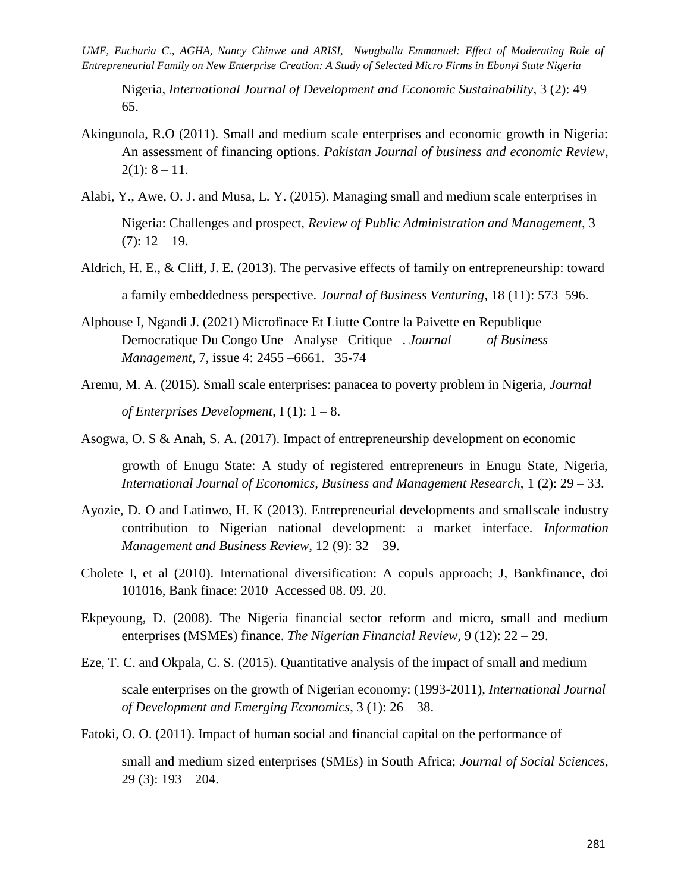Nigeria, *International Journal of Development and Economic Sustainability*, 3 (2): 49 – 65.

- Akingunola, R.O (2011). Small and medium scale enterprises and economic growth in Nigeria: An assessment of financing options. *Pakistan Journal of business and economic Review*,  $2(1): 8 - 11.$
- Alabi, Y., Awe, O. J. and Musa, L. Y. (2015). Managing small and medium scale enterprises in Nigeria: Challenges and prospect, *Review of Public Administration and Management,* 3  $(7): 12 - 19.$
- Aldrich, H. E., & Cliff, J. E. (2013). The pervasive effects of family on entrepreneurship: toward a family embeddedness perspective. *Journal of Business Venturing*, 18 (11): 573–596.
- Alphouse I, Ngandi J. (2021) Microfinace Et Liutte Contre la Paivette en Republique Democratique Du Congo Une Analyse Critique . *Journal of Business Management,* 7, issue 4: 2455 –6661. 35-74
- Aremu, M. A. (2015). Small scale enterprises: panacea to poverty problem in Nigeria, *Journal of Enterprises Development*, I (1): 1 – 8.

Asogwa, O. S & Anah, S. A. (2017). Impact of entrepreneurship development on economic

growth of Enugu State: A study of registered entrepreneurs in Enugu State, Nigeria, *International Journal of Economics, Business and Management Research*, 1 (2): 29 – 33.

- Ayozie, D. O and Latinwo, H. K (2013). Entrepreneurial developments and smallscale industry contribution to Nigerian national development: a market interface. *Information Management and Business Review,* 12 (9): 32 – 39.
- Cholete I, et al (2010). International diversification: A copuls approach; J, Bankfinance, doi 101016, Bank finace: 2010 Accessed 08. 09. 20.
- Ekpeyoung, D. (2008). The Nigeria financial sector reform and micro, small and medium enterprises (MSMEs) finance. *The Nigerian Financial Review,* 9 (12): 22 – 29.
- Eze, T. C. and Okpala, C. S. (2015). Quantitative analysis of the impact of small and medium

scale enterprises on the growth of Nigerian economy: (1993-2011), *International Journal of Development and Emerging Economics*, 3 (1): 26 – 38.

Fatoki, O. O. (2011). Impact of human social and financial capital on the performance of

small and medium sized enterprises (SMEs) in South Africa; *Journal of Social Sciences*, 29 (3): 193 – 204.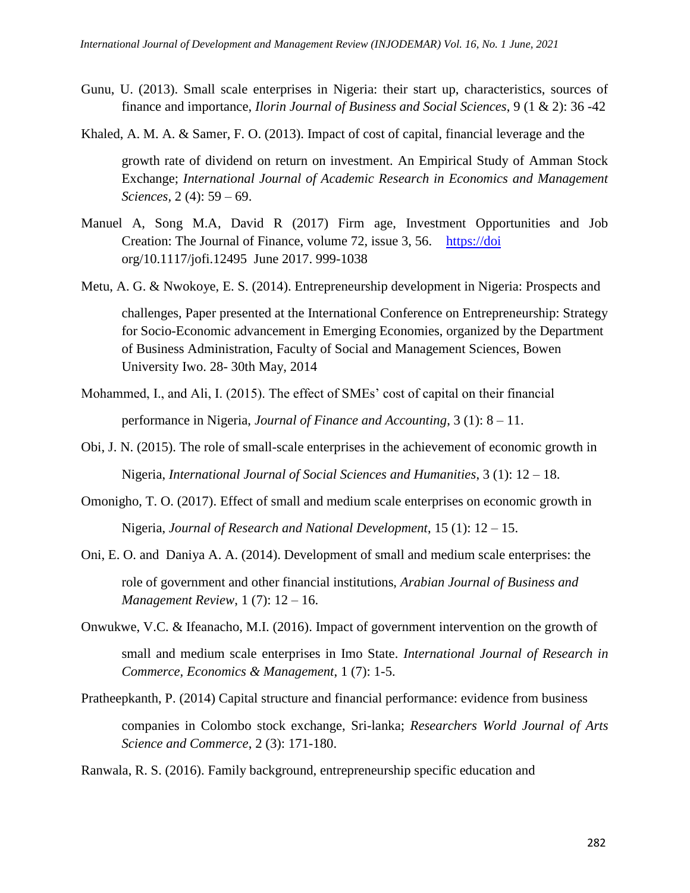- Gunu, U. (2013). Small scale enterprises in Nigeria: their start up, characteristics, sources of finance and importance, *Ilorin Journal of Business and Social Sciences*, 9 (1 & 2): 36 -42
- Khaled, A. M. A. & Samer, F. O. (2013). Impact of cost of capital, financial leverage and the

growth rate of dividend on return on investment. An Empirical Study of Amman Stock Exchange; *International Journal of Academic Research in Economics and Management Sciences,* 2 (4): 59 – 69.

- Manuel A, Song M.A, David R (2017) Firm age, Investment Opportunities and Job Creation: The Journal of Finance, volume 72, issue 3, 56. [https://doi](https://doi/) org/10.1117/jofi.12495 June 2017. 999-1038
- Metu, A. G. & Nwokoye, E. S. (2014). Entrepreneurship development in Nigeria: Prospects and

challenges, Paper presented at the International Conference on Entrepreneurship: Strategy for Socio-Economic advancement in Emerging Economies, organized by the Department of Business Administration, Faculty of Social and Management Sciences, Bowen University Iwo. 28- 30th May, 2014

- Mohammed, I., and Ali, I. (2015). The effect of SMEs' cost of capital on their financial performance in Nigeria, *Journal of Finance and Accounting*, 3 (1): 8 – 11.
- Obi, J. N. (2015). The role of small-scale enterprises in the achievement of economic growth in Nigeria, *International Journal of Social Sciences and Humanities*, 3 (1): 12 – 18.
- Omonigho, T. O. (2017). Effect of small and medium scale enterprises on economic growth in Nigeria, *Journal of Research and National Development*, 15 (1): 12 – 15.
- Oni, E. O. and Daniya A. A. (2014). Development of small and medium scale enterprises: the role of government and other financial institutions, *Arabian Journal of Business and Management Review*, 1 (7): 12 – 16.
- Onwukwe, V.C. & Ifeanacho, M.I. (2016). Impact of government intervention on the growth of small and medium scale enterprises in Imo State. *International Journal of Research in Commerce, Economics & Management*, 1 (7): 1-5.
- Pratheepkanth, P. (2014) Capital structure and financial performance: evidence from business companies in Colombo stock exchange, Sri-lanka; *Researchers World Journal of Arts Science and Commerce*, 2 (3): 171-180.

Ranwala, R. S. (2016). Family background, entrepreneurship specific education and